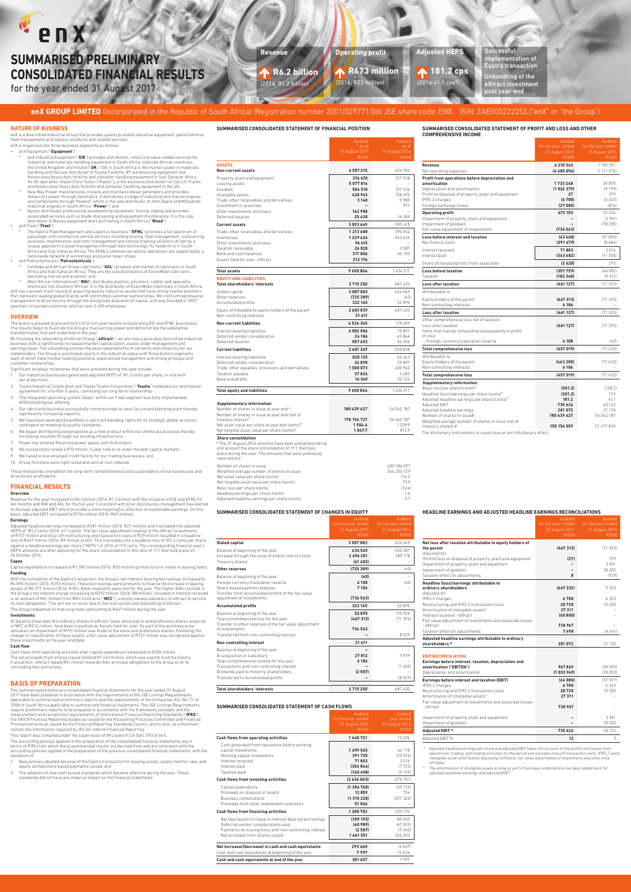# enX **SUMMARISED PRELIMINARY CONSOLIDATED FINANCIAL RESULTS**

for the year ended 31 August 2017

## enX GROUP LIMITED (Incorporated in the Republic of South Africa) (Registration number 2001/029771/06) JSE share code: ENX ISIN: ZAE000222253 ("enX" or "the Group")



| SUMMARISED CONSOLIDATED STATEMENT OF PROFIT AND LOSS AND OTH |  |
|--------------------------------------------------------------|--|
| <b>COMPREHENSIVE INCOME</b>                                  |  |

|                                                                                                                                                                                                                                                                                                       | Audited<br>for the year ended<br>31 August 2017<br>R'000        | Audited<br>for the year ended<br>31 August 2016<br>R'000  |
|-------------------------------------------------------------------------------------------------------------------------------------------------------------------------------------------------------------------------------------------------------------------------------------------------------|-----------------------------------------------------------------|-----------------------------------------------------------|
| Revenue<br>Net operating expenses                                                                                                                                                                                                                                                                     | 6218342<br>(4485094)                                            | 1 150 951<br>(1111076)                                    |
| Profit from operations before depreciation and<br>amortisation<br>Depreciation and amortisation<br>Profit on disposal of property, plant and equipment<br>IFRS 2 charges<br>Foreign exchange losses                                                                                                   | 1733248<br>(1026379)<br>27<br>(6708)<br>(27085)                 | 39875<br>(9799)<br>379<br>(6323)<br>(876)                 |
| <b>Operating profit</b><br>Impairment of property, plant and equipment<br>Impairment of goodwill<br>Fair value adjustment of investments                                                                                                                                                              | 673 103<br>(736563)                                             | 23 25 6<br>(2941)<br>(78205)                              |
| Loss before interest and taxation<br>Net finance costs                                                                                                                                                                                                                                                | (63460)<br>(291679)                                             | (57890)<br>(8484)                                         |
| Interest received<br>Interest paid                                                                                                                                                                                                                                                                    | 71803<br>(363482)                                               | 3016<br>(11500)                                           |
| Share of (losses)/profits from associates                                                                                                                                                                                                                                                             | (2620)                                                          | 293                                                       |
| Loss before taxation<br>Taxation                                                                                                                                                                                                                                                                      | (357759)<br>(103368)                                            | (66081)<br>(5312)                                         |
| <b>Loss after taxation</b>                                                                                                                                                                                                                                                                            | (461127)                                                        | (71393)                                                   |
| Attributable to:                                                                                                                                                                                                                                                                                      |                                                                 |                                                           |
| Equity holders of the parent<br>Non-controlling interests                                                                                                                                                                                                                                             | (467313)<br>6186                                                | (71393)                                                   |
| Loss after taxation                                                                                                                                                                                                                                                                                   | (461127)                                                        | (71393)                                                   |
| Other comprehensive loss net of taxation:<br>Loss after taxation<br>Items that may be reclassified subsequently to profit<br>or loss:                                                                                                                                                                 | (461127)                                                        | (71393)                                                   |
| - Foreign currency translation reserve                                                                                                                                                                                                                                                                | 4108                                                            | (40)                                                      |
| <b>Total comprehensive loss</b>                                                                                                                                                                                                                                                                       | (457019)                                                        | (71433)                                                   |
| Attributable to:<br>Equity holders of the parent<br>Non-controlling interests                                                                                                                                                                                                                         | (463205)<br>6186                                                | (71433)                                                   |
| <b>Total comprehensive loss</b>                                                                                                                                                                                                                                                                       | (457019)                                                        | (71433)                                                   |
| <b>Supplementary information:</b><br>Basic loss per share (cents)#<br>Headline (loss)/earnings per share (cents)#<br>Adjusted headline earnings per share (cents)#<br>Adjusted EBIT<br>Adjusted headline earnings<br>Number of shares in issue#<br>Weighted average number of shares in issue (net of | (301.2)<br>(301.2)<br>181.2<br>735 626<br>281072<br>180 439 427 | (138.7)<br>17.9<br>41.1<br>40 122<br>21 135<br>54 562 187 |
| treasury shares) #<br>The dilutionary instruments in issue have an anti-dilutionary effect.                                                                                                                                                                                                           | 155 154 559                                                     | 51 477 830                                                |

- enX Industrial Equipment ("**EIE**") provides distribution, rental and value-added services for<br>industrial and materials handling equipment in South Africa, selected African countries,<br>the United Kingdom and Ireland ("**UK**") handling and the sole distributor of Toyota Forklifts, BT warehousing equipment and<br>Konecranes heavy duty forklifts and container handling equipment in Sub-Saharan Africa.<br>Its UK operation, Impact Fork Tucks ("Impact"), is
- and Konecranes heavy duty forklifts and container handling equipment in the UK; º New Way Power manufactures, installs and maintains diesel generators and provides temporary power through Genmatics. It distributes a range of industrial and marine engines<br>and components through Power0<sup>3</sup> which is the sole distributor of John Deere and Mitsubishi<br>industrial engines in South Africa ("**P**
- associated services such as blade sharpening and equipment maintenance. It is the sole distributor of Biesse equipment and Leitz tooling in South Africa ("**Wood**"). • enX Fleet ("**Fleet**"):

º The Eqstra Fleet Management and Logistics business ("**EFML**") provides a full spectrum of passenger and commercial vehicle services including leasing, fleet management, outsourcing solutions, maintenance, warranty management and vehicle tracking solutions driven by a<br>unique approach to asset management through data technology. Its footprint is in South<br>Africa and Sub-Saharan Africa. The EFML's commer

° Centlube and African Group Lubricants ("**AGL**") produce and market oil lubricants in South<br>Africa and Sub-Saharan Africa. They are the sole distributors of ExxonMobil lubricants<br>(excluding marine and aviation); and

º West African International ("**WAI**") distributes plastics, polymers, rubber and speciality chemicals into Southern African. It is the distributor of ExxonMobil chemicals in South Africa.<br>enX has a proven track record of acquiring quality industrial assets that have strong market positions<br>that represent leading

#### **NATURE OF BUSINESS**

enX is a diversified industrial Group that provides quality branded industrial equipment, petrochemical, fleet management and logistics products and related services.

#### enX is organised into three business segments as follows: • enX Equipment ("**Equipment**"):

By finalising the unbundling of eXtract Group ("**eXtract**"), we are now a pure-play diversified industrial.<br>business with a significantly increased market capitalisation, assets under management and<br>earnings base. The unbu stakeholders. The Group is positioned clearly in the industrial space with three distinct segments each of which have market-leading positions, experienced management and strong principal and customer relationships.

#### **OVERVIEW**

The board is pleased to present enX's first full-year results incorporating EIE and EFML businesses.<br>The results begin to illustrate the Group's true earning power and demonstrate the substantial<br>transformation that enX un

Significant strategic milestones that were achieved during the year include:

Revenue for the year increased to R6.2 billion (2016: R1.2 billion) with the inclusion of EIE and EFML for ten months and WAI and AGL for the full year. Consistent with prior disclosures, management has elected<br>to disclose adjusted EBIT which provides a more meaningful reflection of sustainable earnings. On this<br>basis, adjusted

- 1. Our industrial businesses generated adjusted HEPS of 181.2 cents per share, in-line with our projections;
- 2. Toyota Industrial Corporation and Toyota Tsusho Corporation ("**Toyota**") extended our distribution agreement for a further 3 years, continuing our long-term relationship;
- 3. The integrated operating system 'Quest' within our Fleet segment was fully implemented, differentiating our offering;
- 4. Our lubricants business successfully commissioned its new Cera inland blending plant thereby significantly increasing capacity;
- 5. We have been awarded ExxonMobil's lubricant blending rights for its strategic global accounts, contingent on meeting its quality standards;
- 6. We began distributing polypropylene as a new product within our chemicals business thereby increasing volumes through our existing infrastructure;
- 7. Power has entered the prime power space, with firm orders;

We successfully raised a R70 million, 5 year note to re-enter the debt capital markets;

We raised a new enlarged credit facility for our trading businesses; and

With the completion of the Eqstra transaction, the Group's net interest-bearing borrowings increased to R4 890 million (2016: R293 million). These borrowings were primarily to finance the increase in leasing<br>assets of R5 0 its loan obligations. This will not re-occur due to the restructure and unbundling of eXtract.

10. Group functions were right-sized and central cost reduced.

These milestones strengthen the long-term competitiveness and sustainability of our businesses and drive future profitability.

**Revenue**

**R6.2 billion**  (2016: R1.2 billion)

**Operating profit**

**R673 million**  (2016: R23 million)

**Adjusted HEPS** 

**181.2 cps**  $(2016:41.1 \text{ cps})$ 

Successful implementation of Eqstra transaction Unbundling of the eXtract investment post year-end

#### **SUMMARISED CONSOLIDATED STATEMENT OF CHANGES IN EQUITY**

The accounting policies applied in the preparation of the consolidated financial statements are in terms of IFRS from which these summarised results are derived from and are consistent with the accounting policies applied in the preparation of the previous consolidated financial statements, with the exception of

|                                                                                                                                                                                                     | Audited<br>for the year ended<br>31 August 2017<br>R'000 | Audited<br>for the year ended<br>31 August 2016<br>R'000 |
|-----------------------------------------------------------------------------------------------------------------------------------------------------------------------------------------------------|----------------------------------------------------------|----------------------------------------------------------|
| <b>Stated capital</b>                                                                                                                                                                               | 3087083                                                  | 634 565                                                  |
| Balance at beginning of the year<br>Increase through the issue of shares (net of costs)<br>Treasury shares                                                                                          | 634 565<br>2 494 201<br>(41683)                          | 345 387<br>289 178                                       |
| Other reserves                                                                                                                                                                                      | (725 389)                                                | (40)                                                     |
| Balance at beginning of the year<br>Foreign currency translation reserve<br>Share-based payment expense<br>Transfer from accumulated profits of the fair value<br>adjustment of investments         | (40)<br>4 1 0 8<br>7 1 0 6<br>(736563)                   | (40)                                                     |
| <b>Accumulated profits</b>                                                                                                                                                                          | 322 145                                                  | 52 895                                                   |
| Balance at beginning of the year<br>Total comprehensive loss for the year<br>Transfer to other reserves of the fair value adjustment<br>of investments<br>Transferred from non-controlling interest | 52895<br>(467313)<br>736 563                             | 115 959<br>(71393)<br>8329                               |
| Non-controlling interest                                                                                                                                                                            | 31 411                                                   |                                                          |
| Balance at beginning of the year<br>At acquisition of subsidiary<br>Total comprehensive income for the year<br>Transactions with non-controlling interest                                           | 27812<br>6186                                            | 9979<br>(1650)                                           |
| Dividends paid to minority shareholders                                                                                                                                                             | (2587)                                                   |                                                          |

| Transferred to accumulated profits | (8329) |
|------------------------------------|--------|
|                                    |        |

| <b>Total shareholders' interests</b> | 2 715 250 |  |
|--------------------------------------|-----------|--|
|                                      |           |  |

#### **SUMMARISED CONSOLIDATED STATEMENT OF CASH FLOWS**

|                                                                                                                                                                                            | Audited<br>for the year ended<br>31 August 2017<br>R'000 | Audited<br>year ended<br>31 August 2016<br>R'000 |
|--------------------------------------------------------------------------------------------------------------------------------------------------------------------------------------------|----------------------------------------------------------|--------------------------------------------------|
| Cash flows from operating activities                                                                                                                                                       | 1640721                                                  | 12 2 9 4                                         |
| Cash generated from operations before working<br>capital movements<br>Working capital movements<br>Interest received<br>Interest paid<br>Taxation paid                                     | 1699545<br>391735<br>71803<br>(356864)<br>(165498)       | 42 178<br>(20016)<br>3016<br>(7725)<br>(5159)    |
| Cash flows from investing activities                                                                                                                                                       | (2636043)                                                | (276701)                                         |
| Capital expenditure<br>Proceeds on disposal of assets<br><b>Business combinations</b><br>Proceeds from other investments and loans                                                         | (1384740)<br>12859<br>(1315228)<br>51066                 | (20135)<br>754<br>(257320)                       |
| Cash flows from financing activities                                                                                                                                                       | 1 288 782                                                | 259 770                                          |
| Net (decrease)/increase in interest-bearing borrowings<br>Deferred vendor considerations paid<br>Payments on transactions with non-controlling interest<br>Net proceeds from shares issued | (109193)<br>(40989)<br>(2587)<br>1 4 4 1 5 5 1           | 80 000<br>(67093)<br>(9340)<br>256 203           |
| Net increase/(decrease) in cash and cash equivalents<br>Cash and cash equivalents at beginning of the year                                                                                 | 293 460<br>7997                                          | (4637)<br>12634                                  |
| Cash and cash equivalents at end of the year                                                                                                                                               | 301 457                                                  | 7997                                             |

#### **HEADLINE EARNINGS AND ADJUSTED HEADLINE EARNINGS RECONCILIATIONS**

|                                                                                          | Audited<br>for the year ended<br>31 August 2017<br>R'000 | muulteu<br>for the year ended<br>31 August 2016<br>R'000 |
|------------------------------------------------------------------------------------------|----------------------------------------------------------|----------------------------------------------------------|
| Net loss after taxation attributable to equity holders of<br>the parent<br>Adjusted for: | (467313)                                                 | (71393)                                                  |
| (Profit)/loss on disposal of property, plant and equipment                               | (27)                                                     | 379                                                      |
| Impairment of property, plant and equipment                                              |                                                          | 2941                                                     |
| Impairment of goodwill                                                                   |                                                          | 78 205                                                   |
| Taxation effect on adjustments                                                           | 8                                                        | (929)                                                    |
| Headline (loss)/earnings attributable to                                                 |                                                          |                                                          |
| ordinary shareholders<br>Adiusted for:                                                   | (467332)                                                 | 9 2 0 3                                                  |
| IFRS 2 charges                                                                           | 6708                                                     | 6323                                                     |
| Restructuring and IFRS 3 transaction costs                                               | 28720                                                    | 10 250                                                   |
| Amortisation of intangible assets*                                                       | 27 311                                                   |                                                          |
| Interest received - eXtract                                                              | (60800)                                                  |                                                          |
| Fair value adjustment of investments and associate losses                                |                                                          |                                                          |
| - eXtract                                                                                | 738967                                                   |                                                          |
| Taxation effect on adjustments                                                           | 7498                                                     | (4641)                                                   |
| Adjusted headline earnings attributable to ordinary                                      |                                                          |                                                          |
| shareholders ^                                                                           | 281072                                                   | 21 135                                                   |
|                                                                                          |                                                          |                                                          |
| <b>EBIT RECONCILIATION</b>                                                               |                                                          |                                                          |
| Earnings before interest, taxation, depreciation and<br>amortisation ("EBITDA")          | 967869                                                   | (39595)                                                  |
| Depreciation and amortisation                                                            | (1033949)                                                | (18002)                                                  |
|                                                                                          |                                                          |                                                          |
| Earnings before interest and taxation (EBIT)                                             | (66080)                                                  | (57597)                                                  |
| IFRS 2 charges                                                                           | 6708                                                     | 6 3 2 3<br>10 250                                        |
| Restructuring and IFRS 3 transaction costs<br>Amortisation of intangible assets*         | 28720<br>27311                                           |                                                          |
| Fair value adjustment of investments and associate losses                                |                                                          |                                                          |
| - eXtract                                                                                | 738967                                                   |                                                          |
|                                                                                          |                                                          |                                                          |
| Impairment of property, plant and equipment                                              |                                                          | 2941                                                     |
| Impairment of goodwill                                                                   |                                                          | 78 205                                                   |
| Adjusted EBIT ^                                                                          | 735 626                                                  | 40 122                                                   |
| Adjusted EBIT %                                                                          | 12                                                       | 3                                                        |

^ Adjusted headline earnings per share and adjusted EBIT takes into account all the profits and losses from operational, trading, and funding activities for the period and excludes once off transaction costs, IFRS 2 costs, intangible asset amortisation (excluding software), fair value adjustments of investments and other once off items.

The amortisation of intangible assets arising as part of business combinations has been added back for adjusted headlines earnings and adjusted EBIT.

### **FINANCIAL RESULTS**

#### **Overview**

#### **Earnings**

Adjusted headline earnings increased to R281 million (2016: R21 million) and translated into adjusted HEPS of 181.2 cents (2016: 41.1 cents). The fair value adjustment relating to the eXtract investments of R737 million and once-off restructuring and transaction costs of R29 million resulted in a headline loss of R467 million (2016: R9 million profit). This translates into a headline loss of 301.2 cents per share against a headline earnings per share ("HEPS") in 2016 of 17.9 cents. The corresponding financial year's HEPS amounts are after adjusting for the share consolidation in the ratio of 11:1 that took place on 24 October 2016.

#### **Capex**

Capital expenditure increased to R1 385 million (2016: R20 million) primarily to re-invest in leasing fleets. **Funding**

The Group redeemed its maturing notes amounting to R447 million during the year.

## **Investments**

At balance sheet date the ordinary shares in eXtract, loans advanced to and preference shares acquired<br>in MCC of R212 million, have been classified as 'Assets held for sale'. As part of the purchase price<br>allocation an imp

#### **Cash flow**

Cash flows from operating activities after capital expenditure amounted to R256 million. The net proceeds from shares issued totalled R1 442 million, which was used to fund the Eqstra transaction. eXtract repaid R51 million towards their principal obligations to the Group prior to concluding the restructure.

### **BASIS OF PREPARATION**

The summarised preliminary consolidated financial statements for the year ended 31 August 2017 have been prepared in accordance with the requirements of the JSE Listings Requirements<br>applicable to summarised preliminary reports and the requirements of the Companies Act, No. 71 of<br>2008 of South Africa applicable the SAICA Financial Reporting Guides as issued by the Accounting Practices Committee and Financial Pronouncements as issued by the Financial Reporting Standards Council, and to also, as a minimum, contain the information required by IAS 34: Interim Financial Reporting.

This report was compiled under the supervision of IM Lipworth CA (SA), CFO of enX.

- 1. New policies adopted because of the Eqstra transaction for leasing assets, assets held for sale, and equity settled share based payments issued; and
- 2. The adoption of new and revised standards which became effective during the year. These standards did not have any material impact on the financial statements.

as at

|                                                                                                                   | R'000             | o maga.<br>R'000 |
|-------------------------------------------------------------------------------------------------------------------|-------------------|------------------|
| <b>ASSETS</b>                                                                                                     |                   |                  |
| Non-current assets                                                                                                | 6 5 5 7 2 1 5     | 424 902          |
| Property, plant and equipment                                                                                     | 374 470           | 121 928          |
| Leasing assets                                                                                                    | 5077814           |                  |
| Goodwill                                                                                                          | 504 510           | 151 336          |
| Intangible assets                                                                                                 | 428943<br>3 1 4 0 | 128 393<br>5985  |
| Trade, other receivables and derivatives<br>Investment in associate                                               |                   | 971              |
| Other investments and loans                                                                                       | 142908            |                  |
| Deferred taxation                                                                                                 | 25430             | 16 289           |
| <b>Current assets</b>                                                                                             | 3093649           | 999 415          |
| Trade, other receivables and derivatives                                                                          | 1 213 608         | 394 552          |
| Inventories                                                                                                       | 1229624           | 542 626          |
| Other investments and loans                                                                                       | 94 415            |                  |
| Taxation receivable                                                                                               | 26 0 20           | 2087             |
| Bank and cash balances                                                                                            | 317806            | 60 150           |
| Assets held for sale - eXtract                                                                                    | 212 176           |                  |
| <b>Total assets</b>                                                                                               | 9650864           | 1 424 317        |
| <b>EQUITY AND LIABILITIES</b>                                                                                     |                   |                  |
| <b>Total shareholders' interests</b>                                                                              | 2715250           | 687 420          |
| Stated capital                                                                                                    | 3087083           | 634 565          |
| Other reserves                                                                                                    | (725 389)         | (40)             |
| Accumulated profits                                                                                               | 322 145           | 52 895           |
| Equity attributable to equity holders of the parent<br>Non-controlling interests                                  | 2683839<br>31 411 | 687 420          |
| <b>Non-current liabilities</b>                                                                                    | 4534345           | 178 059          |
| Interest-bearing liabilities                                                                                      | 4002506           | 75891            |
| Deferred vendor consideration                                                                                     | 24 18 6           | 65864            |
| Deferred taxation                                                                                                 | 507 653           | 36 30 4          |
| <b>Current liabilities</b>                                                                                        | 2 401 269         | 558838           |
| Interest-bearing liabilities                                                                                      | 820 125           | 65343            |
| Deferred vendor consideration                                                                                     | 26898             | 33897            |
| Trade, other payables, provisions and derivatives                                                                 | 1500073           | 405 962          |
| Taxation payable                                                                                                  | 37824             | 1483             |
| Bank overdrafts                                                                                                   | 16349             | 52 153           |
| <b>Total equity and liabilities</b>                                                                               | 9650864           | 1 424 317        |
|                                                                                                                   |                   |                  |
| <b>Supplementary information:</b>                                                                                 |                   |                  |
| Number of shares in issue at year end #                                                                           | 180 439 427       | 54 562 187       |
| Number of shares in issue at year end (net of<br>treasury shares)#                                                | 178 156 727       | 54 562 187       |
| Net asset value per share at year end (cents)#                                                                    | 1506.4            | 1 2 5 9 . 9      |
| Net tangible asset value per share (cents)#                                                                       | 1047.7            | 812.9            |
| <b>Share consolidation</b>                                                                                        |                   |                  |
| # The 31 August 2016 amounts have been presented taking                                                           |                   |                  |
| into account the share consolidation of 11:1 that took<br>place during the year. The amounts that were previously |                   |                  |
| reported are:                                                                                                     |                   |                  |
| Number of shares in issue                                                                                         |                   | 600 184 057      |
| Weighted average number of shares in issue                                                                        |                   | 566 256 129      |
| Net asset value per share (cents)                                                                                 |                   | 114.5            |
| Net tangible asset value per share (cents)                                                                        |                   | 73.9             |
| Basic loss per share (cents)                                                                                      |                   | (12.6)           |
| Headline earnings per share (cents)                                                                               |                   | 1.6              |
| Adjusted headline earnings per share (cents)                                                                      |                   | 3.7              |